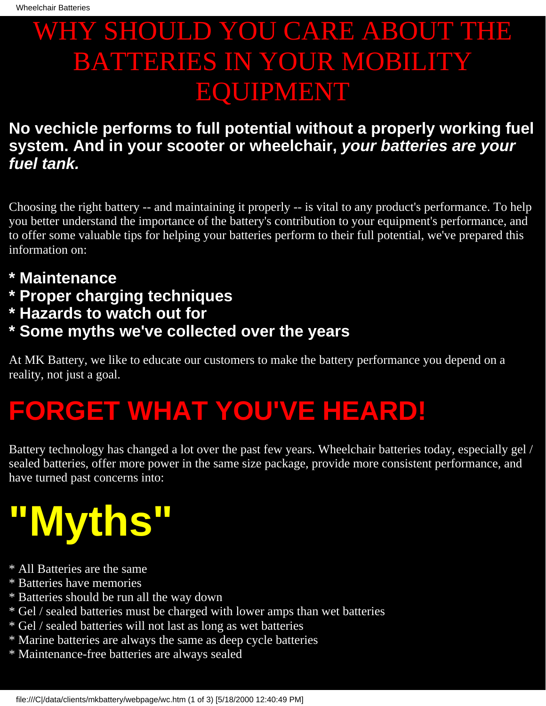### WHY SHOULD YOU CARE ABOUT THE BATTERIES IN YOUR MOBILITY EQUIPMENT

#### **No vechicle performs to full potential without a properly working fuel system. And in your scooter or wheelchair, your batteries are your fuel tank.**

Choosing the right battery -- and maintaining it properly -- is vital to any product's performance. To help you better understand the importance of the battery's contribution to your equipment's performance, and to offer some valuable tips for helping your batteries perform to their full potential, we've prepared this information on:

- **\* Maintenance**
- **\* Proper charging techniques**
- **\* Hazards to watch out for**
- **\* Some myths we've collected over the years**

At MK Battery, we like to educate our customers to make the battery performance you depend on a reality, not just a goal.

## **FORGET WHAT YOU'VE HEARD!**

Battery technology has changed a lot over the past few years. Wheelchair batteries today, especially gel / sealed batteries, offer more power in the same size package, provide more consistent performance, and have turned past concerns into:

# **"Myths"**

- \* All Batteries are the same
- \* Batteries have memories
- \* Batteries should be run all the way down
- \* Gel / sealed batteries must be charged with lower amps than wet batteries
- \* Gel / sealed batteries will not last as long as wet batteries
- \* Marine batteries are always the same as deep cycle batteries
- \* Maintenance-free batteries are always sealed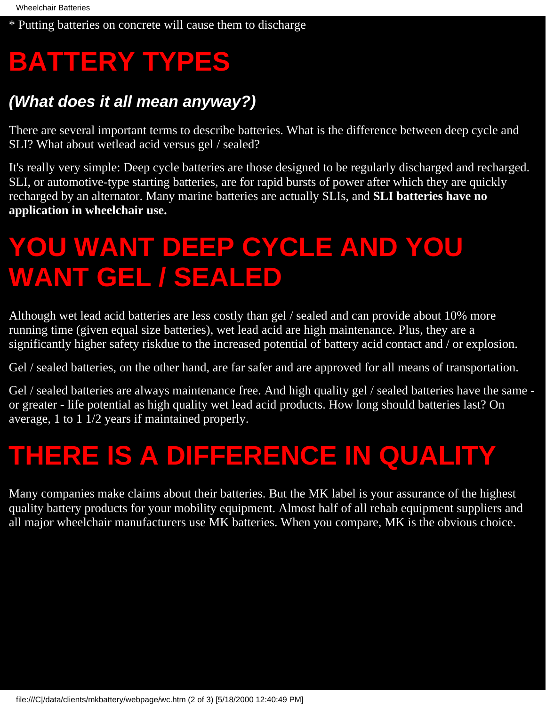\* Putting batteries on concrete will cause them to discharge

### **BATTERY TYPES**

#### **(What does it all mean anyway?)**

There are several important terms to describe batteries. What is the difference between deep cycle and SLI? What about wetlead acid versus gel / sealed?

It's really very simple: Deep cycle batteries are those designed to be regularly discharged and recharged. SLI, or automotive-type starting batteries, are for rapid bursts of power after which they are quickly recharged by an alternator. Many marine batteries are actually SLIs, and **SLI batteries have no application in wheelchair use.**

### **YOU WANT DEEP CYCLE AND YOU WANT GEL / SEALED**

Although wet lead acid batteries are less costly than gel / sealed and can provide about 10% more running time (given equal size batteries), wet lead acid are high maintenance. Plus, they are a significantly higher safety riskdue to the increased potential of battery acid contact and / or explosion.

Gel / sealed batteries, on the other hand, are far safer and are approved for all means of transportation.

Gel / sealed batteries are always maintenance free. And high quality gel / sealed batteries have the same or greater - life potential as high quality wet lead acid products. How long should batteries last? On average, 1 to 1 1/2 years if maintained properly.

### **THERE IS A DIFFERENCE IN QUALITY**

Many companies make claims about their batteries. But the MK label is your assurance of the highest quality battery products for your mobility equipment. Almost half of all rehab equipment suppliers and all major wheelchair manufacturers use MK batteries. When you compare, MK is the obvious choice.